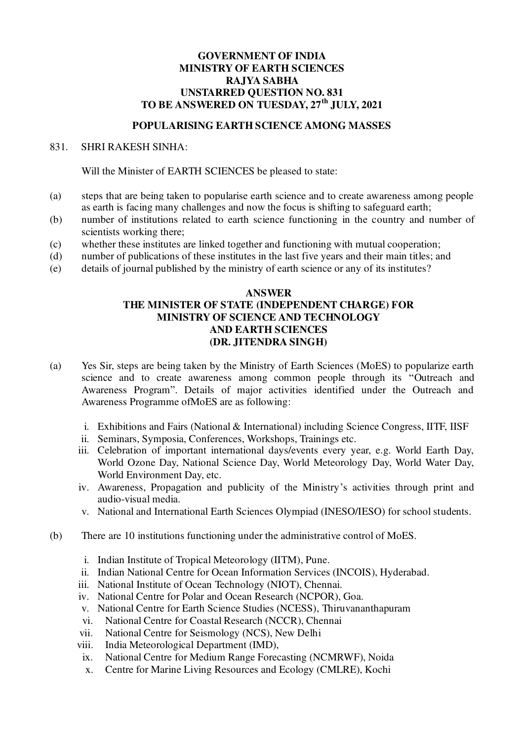## **GOVERNMENT OF INDIA MINISTRY OF EARTH SCIENCES RAJYA SABHA UNSTARRED QUESTION NO. 831 TO BE ANSWERED ON TUESDAY, 27th JULY, 2021**

## **POPULARISING EARTH SCIENCE AMONG MASSES**

## 831. SHRI RAKESH SINHA:

Will the Minister of EARTH SCIENCES be pleased to state:

- (a) steps that are being taken to popularise earth science and to create awareness among people as earth is facing many challenges and now the focus is shifting to safeguard earth;
- (b) number of institutions related to earth science functioning in the country and number of scientists working there;
- (c) whether these institutes are linked together and functioning with mutual cooperation;
- (d) number of publications of these institutes in the last five years and their main titles; and
- (e) details of journal published by the ministry of earth science or any of its institutes?

## **ANSWER THE MINISTER OF STATE (INDEPENDENT CHARGE) FOR MINISTRY OF SCIENCE AND TECHNOLOGY AND EARTH SCIENCES (DR. JITENDRA SINGH)**

- (a) Yes Sir, steps are being taken by the Ministry of Earth Sciences (MoES) to popularize earth science and to create awareness among common people through its "Outreach and Awareness Program". Details of major activities identified under the Outreach and Awareness Programme ofMoES are as following:
	- i. Exhibitions and Fairs (National & International) including Science Congress, IITF, IISF
	- ii. Seminars, Symposia, Conferences, Workshops, Trainings etc.
	- iii. Celebration of important international days/events every year, e.g. World Earth Day, World Ozone Day, National Science Day, World Meteorology Day, World Water Day, World Environment Day, etc.
	- iv. Awareness, Propagation and publicity of the Ministry's activities through print and audio-visual media.
	- v. National and International Earth Sciences Olympiad (INESO/IESO) for school students.
- (b) There are 10 institutions functioning under the administrative control of MoES.
	- i. Indian Institute of Tropical Meteorology (IITM), Pune.
	- ii. Indian National Centre for Ocean Information Services (INCOIS), Hyderabad.
	- iii. National Institute of Ocean Technology (NIOT), Chennai.
	- iv. National Centre for Polar and Ocean Research (NCPOR), Goa.
	- v. National Centre for Earth Science Studies (NCESS), Thiruvananthapuram
	- vi. National Centre for Coastal Research (NCCR), Chennai
	- vii. National Centre for Seismology (NCS), New Delhi
	- viii. India Meteorological Department (IMD),
		- ix. National Centre for Medium Range Forecasting (NCMRWF), Noida
		- x. Centre for Marine Living Resources and Ecology (CMLRE), Kochi